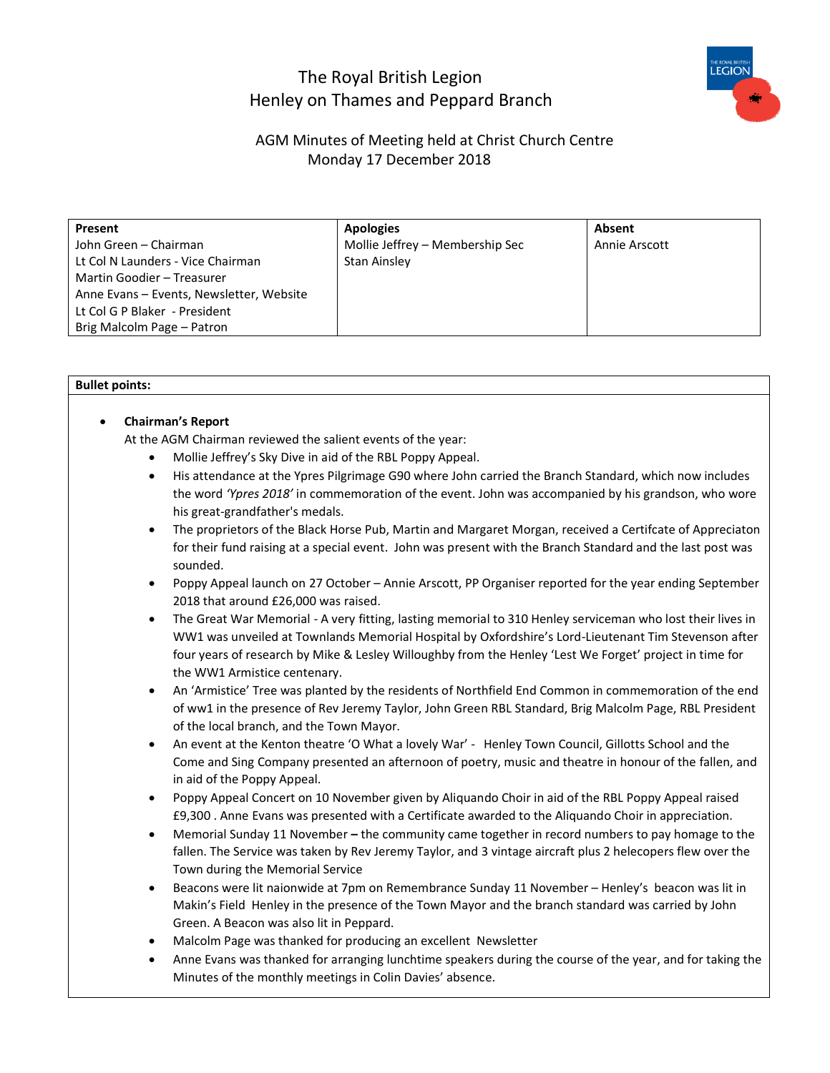# The Royal British Legion Henley on Thames and Peppard Branch



# AGM Minutes of Meeting held at Christ Church Centre Monday 17 December 2018

| Present                                  | <b>Apologies</b>                | Absent        |
|------------------------------------------|---------------------------------|---------------|
| John Green - Chairman                    | Mollie Jeffrey - Membership Sec | Annie Arscott |
| Lt Col N Launders - Vice Chairman        | <b>Stan Ainsley</b>             |               |
| Martin Goodier - Treasurer               |                                 |               |
| Anne Evans - Events, Newsletter, Website |                                 |               |
| Lt Col G P Blaker - President            |                                 |               |
| Brig Malcolm Page - Patron               |                                 |               |

#### **Bullet points:**

## • **Chairman's Report**

At the AGM Chairman reviewed the salient events of the year:

- Mollie Jeffrey's Sky Dive in aid of the RBL Poppy Appeal.
- His attendance at the Ypres Pilgrimage G90 where John carried the Branch Standard, which now includes the word *'Ypres 2018'* in commemoration of the event. John was accompanied by his grandson, who wore his great-grandfather's medals.
- The proprietors of the Black Horse Pub, Martin and Margaret Morgan, received a Certifcate of Appreciaton for their fund raising at a special event. John was present with the Branch Standard and the last post was sounded.
- Poppy Appeal launch on 27 October Annie Arscott, PP Organiser reported for the year ending September 2018 that around £26,000 was raised.
- The Great War Memorial A very fitting, lasting memorial to 310 Henley serviceman who lost their lives in WW1 was unveiled at Townlands Memorial Hospital by Oxfordshire's Lord-Lieutenant Tim Stevenson after four years of research by Mike & Lesley Willoughby from the Henley 'Lest We Forget' project in time for the WW1 Armistice centenary.
- An 'Armistice' Tree was planted by the residents of Northfield End Common in commemoration of the end of ww1 in the presence of Rev Jeremy Taylor, John Green RBL Standard, Brig Malcolm Page, RBL President of the local branch, and the Town Mayor.
- An event at the Kenton theatre 'O What a lovely War' Henley Town Council, Gillotts School and the Come and Sing Company presented an afternoon of poetry, music and theatre in honour of the fallen, and in aid of the Poppy Appeal.
- Poppy Appeal Concert on 10 November given by Aliquando Choir in aid of the RBL Poppy Appeal raised £9,300 . Anne Evans was presented with a Certificate awarded to the Aliquando Choir in appreciation.
- Memorial Sunday 11 November **–** the community came together in record numbers to pay homage to the fallen. The Service was taken by Rev Jeremy Taylor, and 3 vintage aircraft plus 2 helecopers flew over the Town during the Memorial Service
- Beacons were lit naionwide at 7pm on Remembrance Sunday 11 November Henley's beacon was lit in Makin's Field Henley in the presence of the Town Mayor and the branch standard was carried by John Green. A Beacon was also lit in Peppard.
- Malcolm Page was thanked for producing an excellent Newsletter
- Anne Evans was thanked for arranging lunchtime speakers during the course of the year, and for taking the Minutes of the monthly meetings in Colin Davies' absence.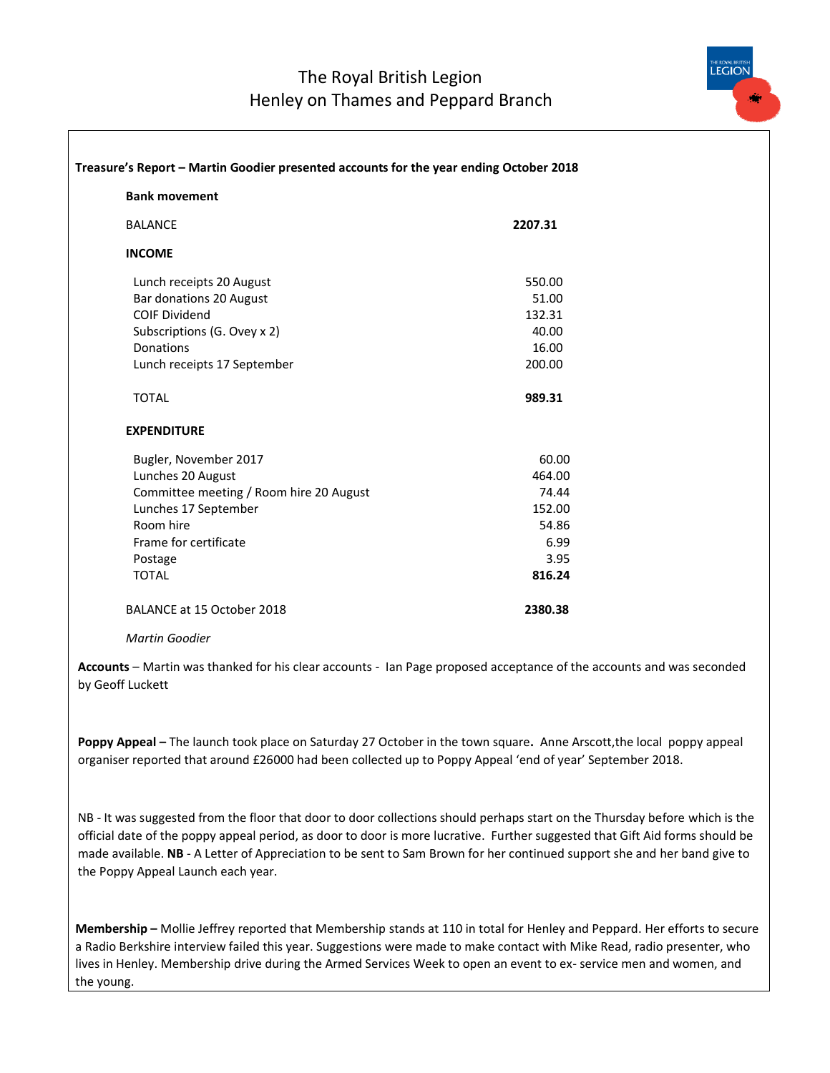

| <b>Bank movement</b><br><b>BALANCE</b><br><b>INCOME</b><br>Lunch receipts 20 August<br>Bar donations 20 August<br><b>COIF Dividend</b><br>Subscriptions (G. Ovey x 2)<br>Donations<br>Lunch receipts 17 September<br><b>TOTAL</b><br><b>EXPENDITURE</b><br>Bugler, November 2017<br>Lunches 20 August<br>Committee meeting / Room hire 20 August<br>Lunches 17 September<br>Room hire<br>Frame for certificate<br>Postage<br><b>TOTAL</b> | Treasure's Report - Martin Goodier presented accounts for the year ending October 2018 |  |  |
|-------------------------------------------------------------------------------------------------------------------------------------------------------------------------------------------------------------------------------------------------------------------------------------------------------------------------------------------------------------------------------------------------------------------------------------------|----------------------------------------------------------------------------------------|--|--|
|                                                                                                                                                                                                                                                                                                                                                                                                                                           |                                                                                        |  |  |
|                                                                                                                                                                                                                                                                                                                                                                                                                                           | 2207.31                                                                                |  |  |
|                                                                                                                                                                                                                                                                                                                                                                                                                                           |                                                                                        |  |  |
|                                                                                                                                                                                                                                                                                                                                                                                                                                           | 550.00                                                                                 |  |  |
|                                                                                                                                                                                                                                                                                                                                                                                                                                           | 51.00                                                                                  |  |  |
|                                                                                                                                                                                                                                                                                                                                                                                                                                           | 132.31                                                                                 |  |  |
|                                                                                                                                                                                                                                                                                                                                                                                                                                           | 40.00                                                                                  |  |  |
|                                                                                                                                                                                                                                                                                                                                                                                                                                           | 16.00                                                                                  |  |  |
|                                                                                                                                                                                                                                                                                                                                                                                                                                           | 200.00                                                                                 |  |  |
|                                                                                                                                                                                                                                                                                                                                                                                                                                           | 989.31                                                                                 |  |  |
|                                                                                                                                                                                                                                                                                                                                                                                                                                           |                                                                                        |  |  |
|                                                                                                                                                                                                                                                                                                                                                                                                                                           | 60.00                                                                                  |  |  |
|                                                                                                                                                                                                                                                                                                                                                                                                                                           | 464.00                                                                                 |  |  |
|                                                                                                                                                                                                                                                                                                                                                                                                                                           | 74.44                                                                                  |  |  |
|                                                                                                                                                                                                                                                                                                                                                                                                                                           | 152.00                                                                                 |  |  |
|                                                                                                                                                                                                                                                                                                                                                                                                                                           | 54.86                                                                                  |  |  |
|                                                                                                                                                                                                                                                                                                                                                                                                                                           | 6.99                                                                                   |  |  |
|                                                                                                                                                                                                                                                                                                                                                                                                                                           | 3.95                                                                                   |  |  |
|                                                                                                                                                                                                                                                                                                                                                                                                                                           | 816.24                                                                                 |  |  |
| BALANCE at 15 October 2018                                                                                                                                                                                                                                                                                                                                                                                                                | 2380.38                                                                                |  |  |

*Martin Goodier*

**Accounts** – Martin was thanked for his clear accounts - Ian Page proposed acceptance of the accounts and was seconded by Geoff Luckett

**Poppy Appeal –** The launch took place on Saturday 27 October in the town square**.** Anne Arscott,the local poppy appeal organiser reported that around £26000 had been collected up to Poppy Appeal 'end of year' September 2018.

NB - It was suggested from the floor that door to door collections should perhaps start on the Thursday before which is the official date of the poppy appeal period, as door to door is more lucrative. Further suggested that Gift Aid forms should be made available. **NB** - A Letter of Appreciation to be sent to Sam Brown for her continued support she and her band give to the Poppy Appeal Launch each year.

**Membership –** Mollie Jeffrey reported that Membership stands at 110 in total for Henley and Peppard. Her efforts to secure a Radio Berkshire interview failed this year. Suggestions were made to make contact with Mike Read, radio presenter, who lives in Henley. Membership drive during the Armed Services Week to open an event to ex- service men and women, and the young.